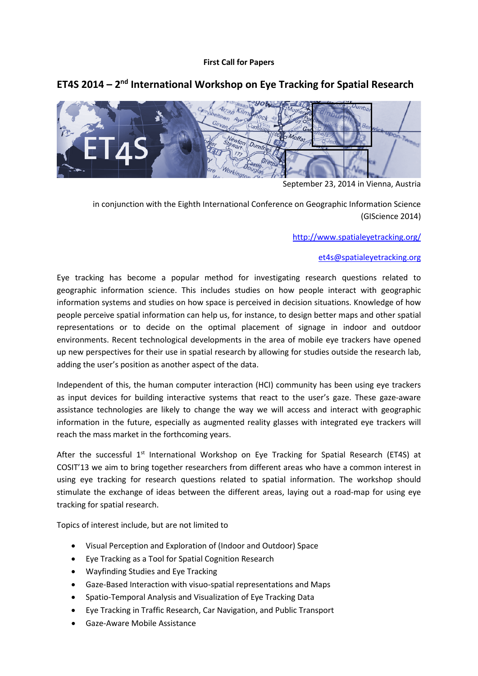# **First Call for Papers**

# **ET4S 2014 – 2nd International Workshop on Eye Tracking for Spatial Research**



September 23, 2014 in Vienna, Austria

in conjunction with the Eighth International Conference on Geographic Information Science (GIScience 2014)

http://www.spatialeyetracking.org/

# et4s@spatialeyetracking.org

Eye tracking has become a popular method for investigating research questions related to geographic information science. This includes studies on how people interact with geographic information systems and studies on how space is perceived in decision situations. Knowledge of how people perceive spatial information can help us, for instance, to design better maps and other spatial representations or to decide on the optimal placement of signage in indoor and outdoor environments. Recent technological developments in the area of mobile eye trackers have opened up new perspectives for their use in spatial research by allowing for studies outside the research lab, adding the user's position as another aspect of the data.

Independent of this, the human computer interaction (HCI) community has been using eye trackers as input devices for building interactive systems that react to the user's gaze. These gaze-aware assistance technologies are likely to change the way we will access and interact with geographic information in the future, especially as augmented reality glasses with integrated eye trackers will reach the mass market in the forthcoming years.

After the successful 1<sup>st</sup> International Workshop on Eye Tracking for Spatial Research (ET4S) at COSIT'13 we aim to bring together researchers from different areas who have a common interest in using eye tracking for research questions related to spatial information. The workshop should stimulate the exchange of ideas between the different areas, laying out a road-map for using eye tracking for spatial research.

Topics of interest include, but are not limited to

- Visual Perception and Exploration of (Indoor and Outdoor) Space
- Eye Tracking as a Tool for Spatial Cognition Research
- Wayfinding Studies and Eye Tracking
- Gaze-Based Interaction with visuo-spatial representations and Maps
- Spatio-Temporal Analysis and Visualization of Eye Tracking Data
- Eye Tracking in Traffic Research, Car Navigation, and Public Transport
- Gaze-Aware Mobile Assistance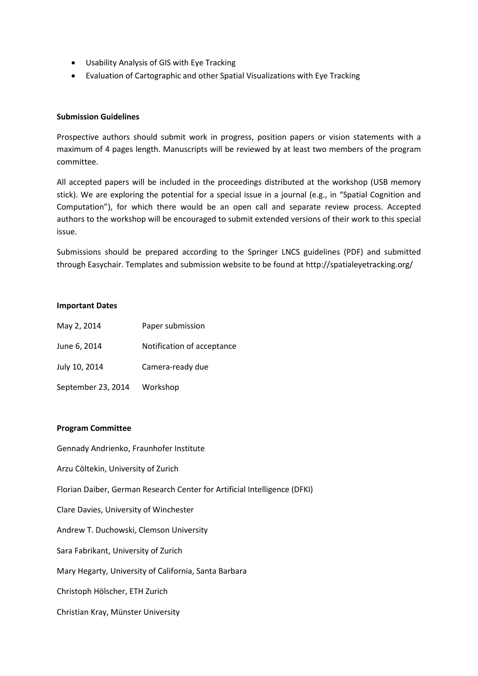- Usability Analysis of GIS with Eye Tracking
- Evaluation of Cartographic and other Spatial Visualizations with Eye Tracking

#### **Submission Guidelines**

Prospective authors should submit work in progress, position papers or vision statements with a maximum of 4 pages length. Manuscripts will be reviewed by at least two members of the program committee.

All accepted papers will be included in the proceedings distributed at the workshop (USB memory stick). We are exploring the potential for a special issue in a journal (e.g., in "Spatial Cognition and Computation"), for which there would be an open call and separate review process. Accepted authors to the workshop will be encouraged to submit extended versions of their work to this special issue.

Submissions should be prepared according to the Springer LNCS guidelines (PDF) and submitted through Easychair. Templates and submission website to be found at http://spatialeyetracking.org/

#### **Important Dates**

| May 2, 2014        | Paper submission           |
|--------------------|----------------------------|
| June 6, 2014       | Notification of acceptance |
| July 10, 2014      | Camera-ready due           |
| September 23, 2014 | Workshop                   |

#### **Program Committee**

Gennady Andrienko, Fraunhofer Institute

Arzu Cöltekin, University of Zurich

Florian Daiber, German Research Center for Artificial Intelligence (DFKI)

Clare Davies, University of Winchester

Andrew T. Duchowski, Clemson University

Sara Fabrikant, University of Zurich

Mary Hegarty, University of California, Santa Barbara

Christoph Hölscher, ETH Zurich

Christian Kray, Münster University